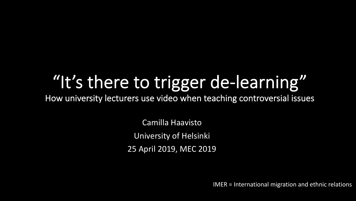# "It's there to trigger de-learning"

How university lecturers use video when teaching controversial issues

Camilla Haavisto University of Helsinki 25 April 2019, MEC 2019

IMER = International migration and ethnic relations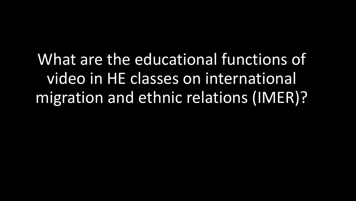What are the educational functions of video in HE classes on international migration and ethnic relations (IMER)?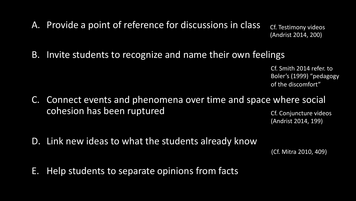A. Provide a point of reference for discussions in class

Cf. Testimony videos (Andrist 2014, 200)

B. Invite students to recognize and name their own feelings

Cf. Smith 2014 refer. to Boler's (1999) "pedagogy of the discomfort"

C. Connect events and phenomena over time and space where social cohesion has been ruptured

Cf. Conjuncture videos (Andrist 2014, 199)

D. Link new ideas to what the students already know

(Cf. Mitra 2010, 409)

E. Help students to separate opinions from facts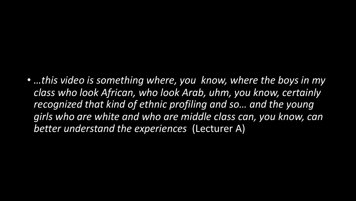• *…this video is something where, you know, where the boys in my class who look African, who look Arab, uhm, you know, certainly recognized that kind of ethnic profiling and so… and the young girls who are white and who are middle class can, you know, can better understand the experiences* (Lecturer A)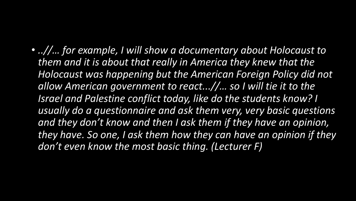• *..//… for example, I will show a documentary about Holocaust to them and it is about that really in America they knew that the Holocaust was happening but the American Foreign Policy did not allow American government to react...//… so I will tie it to the Israel and Palestine conflict today, like do the students know? I usually do a questionnaire and ask them very, very basic questions and they don't know and then I ask them if they have an opinion, they have. So one, I ask them how they can have an opinion if they don't even know the most basic thing. (Lecturer F)*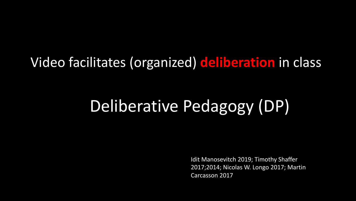#### Video facilitates (organized) **deliberation** in class

## Deliberative Pedagogy (DP)

Idit Manosevitch 2019; Timothy Shaffer 2017;2014; Nicolas W. Longo 2017; Martin Carcasson 2017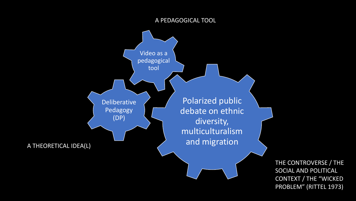#### A PEDAGOGICAL TOOL



THE CONTROVERSE / THE SOCIAL AND POLITICAL CONTEXT / THE "WICKED PROBLEM" (RITTEL 1973)